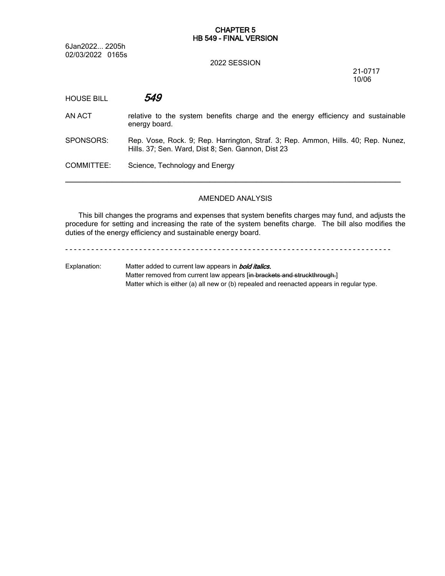# **CHAPTER 5 HB 549 - FINAL VERSION**

6Jan2022... 2205h 02/03/2022 0165s

#### 2022 SESSION

21-0717 10/06

| <b>HOUSE BILL</b> | 549                                                                                                                                     |
|-------------------|-----------------------------------------------------------------------------------------------------------------------------------------|
| AN ACT            | relative to the system benefits charge and the energy efficiency and sustainable<br>energy board.                                       |
| SPONSORS:         | Rep. Vose, Rock. 9; Rep. Harrington, Straf. 3; Rep. Ammon, Hills. 40; Rep. Nunez,<br>Hills. 37; Sen. Ward, Dist 8; Sen. Gannon, Dist 23 |
| COMMITTEE:        | Science, Technology and Energy                                                                                                          |
|                   |                                                                                                                                         |

# AMENDED ANALYSIS

This bill changes the programs and expenses that system benefits charges may fund, and adjusts the procedure for setting and increasing the rate of the system benefits charge. The bill also modifies the duties of the energy efficiency and sustainable energy board.

- - - - - - - - - - - - - - - - - - - - - - - - - - - - - - - - - - - - - - - - - - - - - - - - - - - - - - - - - - - - - - - - - - - - - - - - - - -

Explanation: Matter added to current law appears in *bold italics.* Matter removed from current law appears [in brackets and struckthrough.] Matter which is either (a) all new or (b) repealed and reenacted appears in regular type.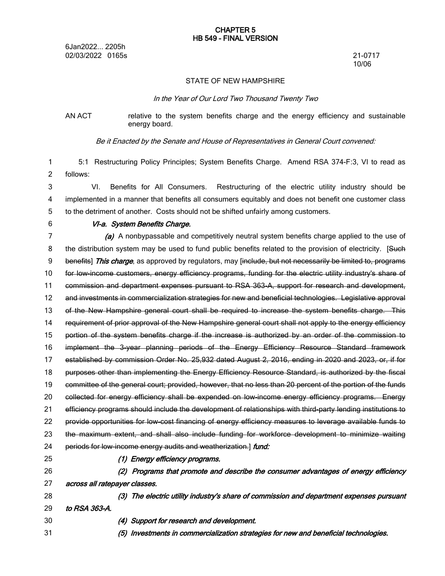6Jan2022... 2205h 02/03/2022 0165s 21-0717

10/06

#### STATE OF NEW HAMPSHIRE

#### *In the Year of Our Lord Two Thousand Twenty Two*

# AN ACT relative to the system benefits charge and the energy efficiency and sustainable energy board.

*Be it Enacted by the Senate and House of Representatives in General Court convened:*

5:1 Restructuring Policy Principles; System Benefits Charge. Amend RSA 374-F:3, VI to read as follows: 1 2

VI. Benefits for All Consumers. Restructuring of the electric utility industry should be implemented in a manner that benefits all consumers equitably and does not benefit one customer class to the detriment of another. Costs should not be shifted unfairly among customers. 3 4 5

6

# *VI-a. System Benefits Charge.*

*(a)* A nonbypassable and competitively neutral system benefits charge applied to the use of the distribution system may be used to fund public benefits related to the provision of electricity. [Such benefits] *This charge*, as approved by regulators, may [include, but not necessarily be limited to, programs for low-income customers, energy efficiency programs, funding for the electric utility industry's share of commission and department expenses pursuant to RSA 363-A, support for research and development, and investments in commercialization strategies for new and beneficial technologies. Legislative approval of the New Hampshire general court shall be required to increase the system benefits charge. This requirement of prior approval of the New Hampshire general court shall not apply to the energy efficiency portion of the system benefits charge if the increase is authorized by an order of the commission to implement the 3-year planning periods of the Energy Efficiency Resource Standard framework established by commission Order No. 25,932 dated August 2, 2016, ending in 2020 and 2023, or, if for purposes other than implementing the Energy Efficiency Resource Standard, is authorized by the fiscal committee of the general court; provided, however, that no less than 20 percent of the portion of the funds collected for energy efficiency shall be expended on low-income energy efficiency programs. Energy efficiency programs should include the development of relationships with third-party lending institutions to provide opportunities for low-cost financing of energy efficiency measures to leverage available funds to the maximum extent, and shall also include funding for workforce development to minimize waiting periods for low-income energy audits and weatherization.] *fund: (1) Energy efficiency programs. (2) Programs that promote and describe the consumer advantages of energy efficiency* 7 8 9 10 11 12 13 14 15 16 17 18 19 20 21 22 23 24 25 26

*across all ratepayer classes.* 27

30 31

*(3) The electric utility industry's share of commission and department expenses pursuant to RSA 363-A.* 28 29

- *(4) Support for research and development.*
- *(5) Investments in commercialization strategies for new and beneficial technologies.*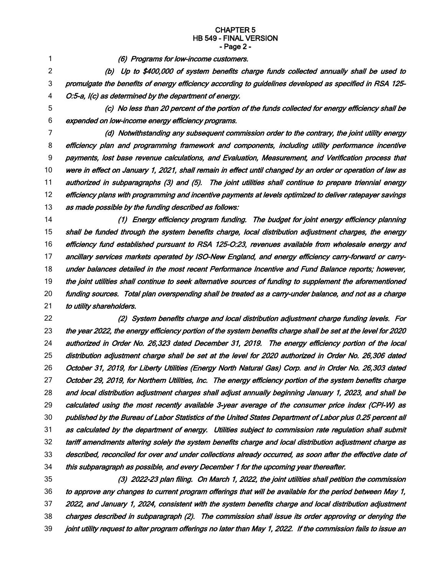## **CHAPTER 5 HB 549 - FINAL VERSION - Page 2 -**

1

*(6) Programs for low-income customers.*

*(b) Up to \$400,000 of system benefits charge funds collected annually shall be used to promulgate the benefits of energy efficiency according to guidelines developed as specified in RSA 125- O:5-a, I(c) as determined by the department of energy.* 2 3 4

5

*(c) No less than 20 percent of the portion of the funds collected for energy efficiency shall be expended on low-income energy efficiency programs.* 6

*(d) Notwithstanding any subsequent commission order to the contrary, the joint utility energy efficiency plan and programming framework and components, including utility performance incentive payments, lost base revenue calculations, and Evaluation, Measurement, and Verification process that* were in effect on January 1, 2021, shall remain in effect until changed by an order or operation of law as *authorized in subparagraphs (3) and (5). The joint utilities shall continue to prepare triennial energy efficiency plans with programming and incentive payments at levels optimized to deliver ratepayer savings as made possible by the funding described as follows:* 7 8 9 10 11 12 13

*(1) Energy efficiency program funding. The budget for joint energy efficiency planning shall be funded through the system benefits charge, local distribution adjustment charges, the energy efficiency fund established pursuant to RSA 125-O:23, revenues available from wholesale energy and ancillary services markets operated by ISO-New England, and energy efficiency carry-forward or carryunder balances detailed in the most recent Performance Incentive and Fund Balance reports; however, the joint utilities shall continue to seek alternative sources of funding to supplement the aforementioned funding sources. Total plan overspending shall be treated as <sup>a</sup> carry-under balance, and not as <sup>a</sup> charge to utility shareholders.* 14 15 16 17 18 19 20 21

*(2) System benefits charge and local distribution adjustment charge funding levels. For* the year 2022, the energy efficiency portion of the system benefits charge shall be set at the level for 2020 *authorized in Order No. 26,323 dated December 31, 2019. The energy efficiency portion of the local distribution adjustment charge shall be set at the level for 2020 authorized in Order No. 26,306 dated October 31, 2019, for Liberty Utilities (Energy North Natural Gas) Corp. and in Order No. 26,303 dated October 29, 2019, for Northern Utilities, Inc. The energy efficiency portion of the system benefits charge and local distribution adjustment charges shall adjust annually beginning January 1, 2023, and shall be calculated using the most recently available 3-year average of the consumer price index (CPI-W) as* published by the Bureau of Labor Statistics of the United States Department of Labor plus 0.25 percent all *as calculated by the department of energy. Utilities subject to commission rate regulation shall submit tariff amendments altering solely the system benefits charge and local distribution adjustment charge as described, reconciled for over and under collections already occurred, as soon after the effective date of this subparagraph as possible, and every December 1 for the upcoming year thereafter.* 22 23 24 25 26 27 28 29 30 31 32 33 34

*(3) 2022-23 plan filing. On March 1, 2022, the joint utilities shall petition the commission* to approve any changes to current program offerings that will be available for the period between May 1, *2022, and January 1, 2024, consistent with the system benefits charge and local distribution adjustment charges described in subparagraph (2). The commission shall issue its order approving or denying the* joint utility request to alter program offerings no later than May 1, 2022. If the commission fails to issue an 35 36 37 38 39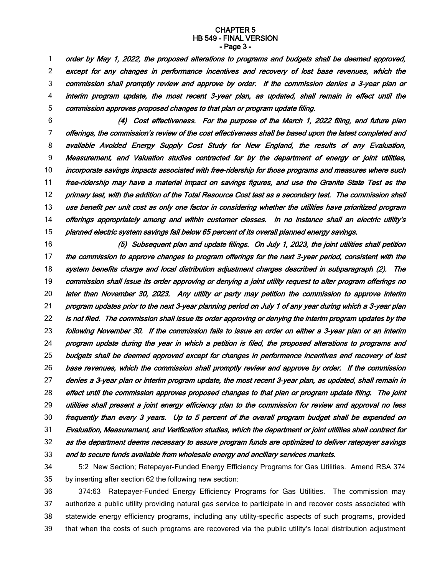#### **CHAPTER 5 HB 549 - FINAL VERSION - Page 3 -**

*order by May 1, 2022, the proposed alterations to programs and budgets shall be deemed approved, except for any changes in performance incentives and recovery of lost base revenues, which the commission shall promptly review and approve by order. If the commission denies <sup>a</sup> 3-year plan or interim program update, the most recent 3-year plan, as updated, shall remain in effect until the commission approves proposed changes to that plan or program update filing.* 1 2 3 4 5

*(4) Cost effectiveness. For the purpose of the March 1, 2022 filing, and future plan offerings, the commission's review of the cost effectiveness shall be based upon the latest completed and available Avoided Energy Supply Cost Study for New England, the results of any Evaluation, Measurement, and Valuation studies contracted for by the department of energy or joint utilities, incorporate savings impacts associated with free-ridership for those programs and measures where such free-ridership may have <sup>a</sup> material impact on savings figures, and use the Granite State Test as the* primary test, with the addition of the Total Resource Cost test as a secondary test. The commission shall use benefit per unit cost as only one factor in considering whether the utilities have prioritized program *offerings appropriately among and within customer classes. In no instance shall an electric utility's planned electric system savings fall below 65 percent of its overall planned energy savings.* 6 7 8 9 10 11 12 13 14 15

*(5) Subsequent plan and update filings. On July 1, 2023, the joint utilities shall petition the commission to approve changes to program offerings for the next 3-year period, consistent with the system benefits charge and local distribution adjustment charges described in subparagraph (2). The* commission shall issue its order approving or denying a joint utility request to alter program offerings no *later than November 30, 2023. Any utility or party may petition the commission to approve interim* program updates prior to the next 3-year planning period on July 1 of any year during which a 3-year plan is not filed. The commission shall issue its order approving or denying the interim program updates by the following November 30. If the commission fails to issue an order on either a 3-year plan or an interim *program update during the year in which <sup>a</sup> petition is filed, the proposed alterations to programs and budgets shall be deemed approved except for changes in performance incentives and recovery of lost base revenues, which the commission shall promptly review and approve by order. If the commission* denies a 3-year plan or interim program update, the most recent 3-year plan, as updated, shall remain in *effect until the commission approves proposed changes to that plan or program update filing. The joint utilities shall present <sup>a</sup> joint energy efficiency plan to the commission for review and approval no less frequently than every 3 years. Up to 5 percent of the overall program budget shall be expended on Evaluation, Measurement, and Verification studies, which the department or joint utilities shall contract for as the department deems necessary to assure program funds are optimized to deliver ratepayer savings and to secure funds available from wholesale energy and ancillary services markets.* 16 17 18 19 20 21 22 23 24 25 26 27 28 29 30 31 32 33

5:2 New Section; Ratepayer-Funded Energy Efficiency Programs for Gas Utilities. Amend RSA 374 by inserting after section 62 the following new section: 34 35

374:63 Ratepayer-Funded Energy Efficiency Programs for Gas Utilities. The commission may authorize a public utility providing natural gas service to participate in and recover costs associated with statewide energy efficiency programs, including any utility-specific aspects of such programs, provided that when the costs of such programs are recovered via the public utility's local distribution adjustment 36 37 38 39